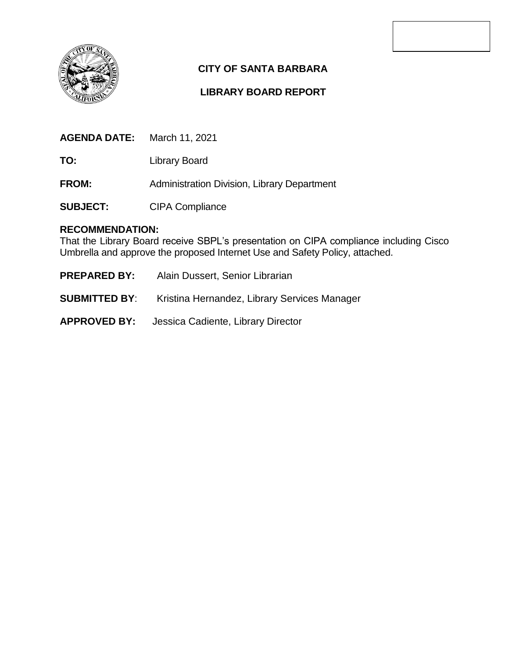

### **CITY OF SANTA BARBARA**

#### **LIBRARY BOARD REPORT**

| <b>AGENDA DATE:</b> | March 11, 2021 |
|---------------------|----------------|
|---------------------|----------------|

**TO:** Library Board

**FROM:** Administration Division, Library Department

**SUBJECT:** CIPA Compliance

#### **RECOMMENDATION:**

That the Library Board receive SBPL's presentation on CIPA compliance including Cisco Umbrella and approve the proposed Internet Use and Safety Policy, attached.

- **PREPARED BY:** Alain Dussert, Senior Librarian
- **SUBMITTED BY**: Kristina Hernandez, Library Services Manager
- **APPROVED BY:** Jessica Cadiente, Library Director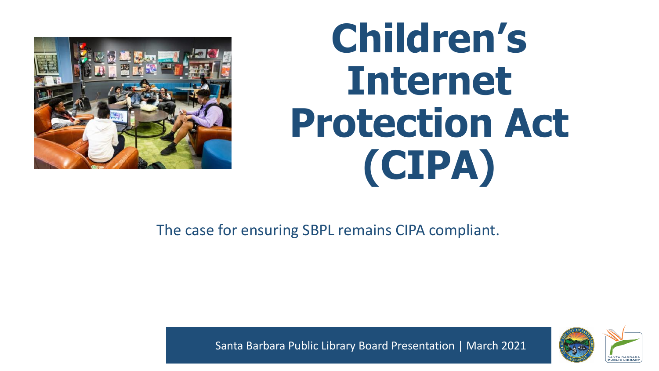

## **Children's Internet Protection Act (CIPA)**

The case for ensuring SBPL remains CIPA compliant.



Santa Barbara Public Library Board Presentation | March 2021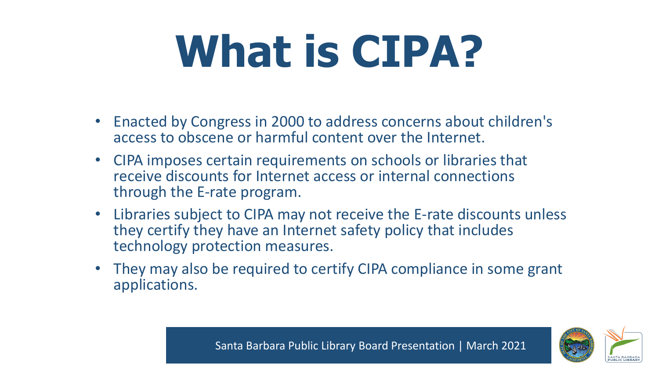# **What is CIPA?**

- Enacted by Congress in 2000 to address concerns about children's access to obscene or harmful content over the Internet.
- CIPA imposes certain requirements on schools or libraries that receive discounts for Internet access or internal connections through the E-rate program.
- Libraries subject to CIPA may not receive the E-rate discounts unless they certify they have an Internet safety policy that includes technology protection measures.
- They may also be required to certify CIPA compliance in some grant applications.

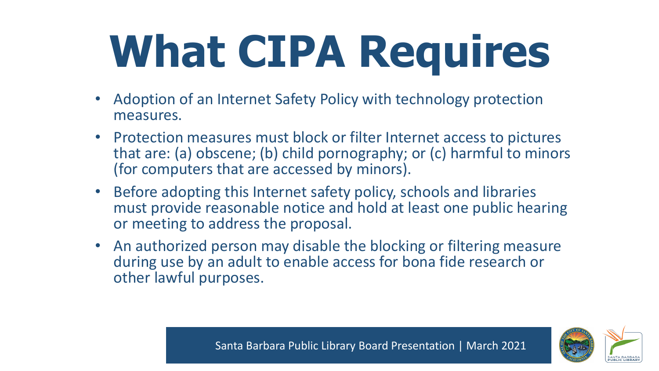# **What CIPA Requires**

- Adoption of an Internet Safety Policy with technology protection measures.
- Protection measures must block or filter Internet access to pictures that are: (a) obscene; (b) child pornography; or (c) harmful to minors (for computers that are accessed by minors).
- Before adopting this Internet safety policy, schools and libraries must provide reasonable notice and hold at least one public hearing or meeting to address the proposal.
- An authorized person may disable the blocking or filtering measure during use by an adult to enable access for bona fide research or other lawful purposes.



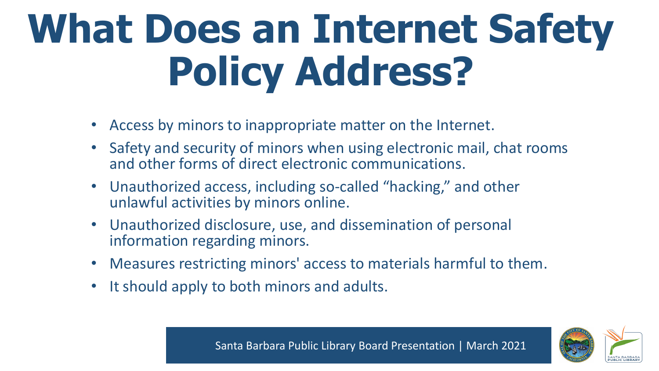## **What Does an Internet Safety Policy Address?**

- Access by minors to inappropriate matter on the Internet.
- Safety and security of minors when using electronic mail, chat rooms and other forms of direct electronic communications.
- Unauthorized access, including so-called "hacking," and other unlawful activities by minors online.
- Unauthorized disclosure, use, and dissemination of personal information regarding minors.
- Measures restricting minors' access to materials harmful to them.
- It should apply to both minors and adults.

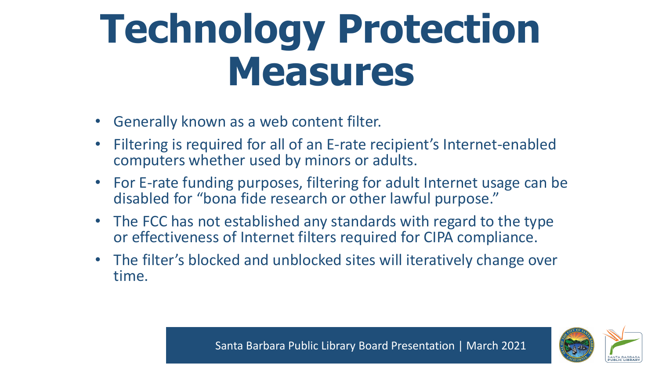### **Technology Protection Measures**

- Generally known as a web content filter.
- Filtering is required for all of an E-rate recipient's Internet-enabled computers whether used by minors or adults.
- For E-rate funding purposes, filtering for adult Internet usage can be disabled for "bona fide research or other lawful purpose."
- The FCC has not established any standards with regard to the type or effectiveness of Internet filters required for CIPA compliance.
- The filter's blocked and unblocked sites will iteratively change over time.

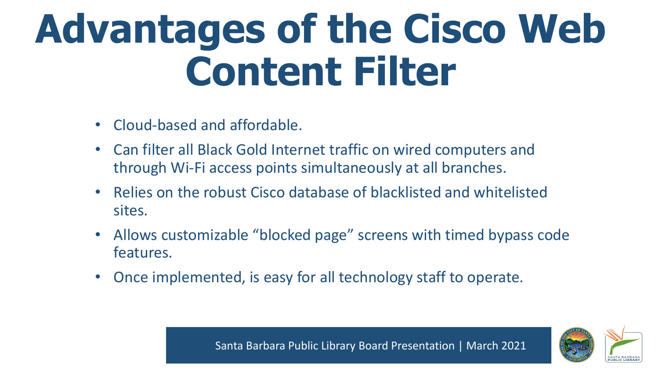## **Advantages of the Cisco Web Content Filter**

- Cloud-based and affordable.
- Can filter all Black Gold Internet traffic on wired computers and through Wi-Fi access points simultaneously at all branches.
- Relies on the robust Cisco database of blacklisted and whitelisted sites.
- Allows customizable "blocked page" screens with timed bypass code features.
- Once implemented, is easy for all technology staff to operate.